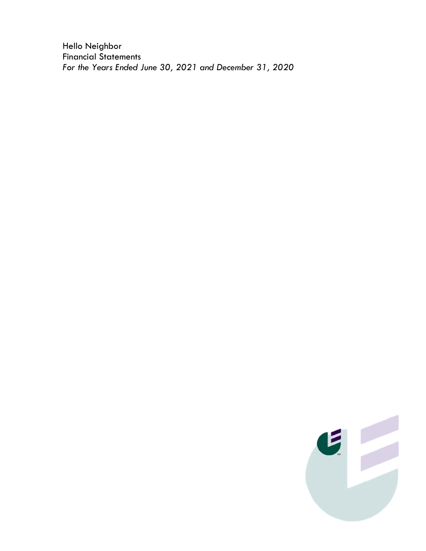Hello Neighbor Financial Statements *For the Years Ended June 30, 2021 and December 31, 2020*

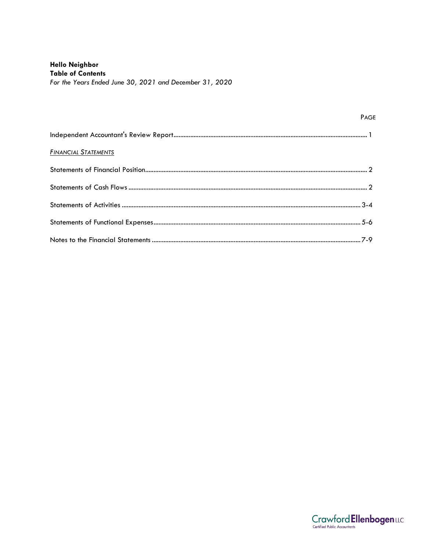# **Hello Neighbor Table of Contents** For the Years Ended June 30, 2021 and December 31, 2020

|                             | PAGE |
|-----------------------------|------|
|                             |      |
| <b>FINANCIAL STATEMENTS</b> |      |
|                             |      |
|                             |      |
|                             |      |
|                             |      |
|                             |      |

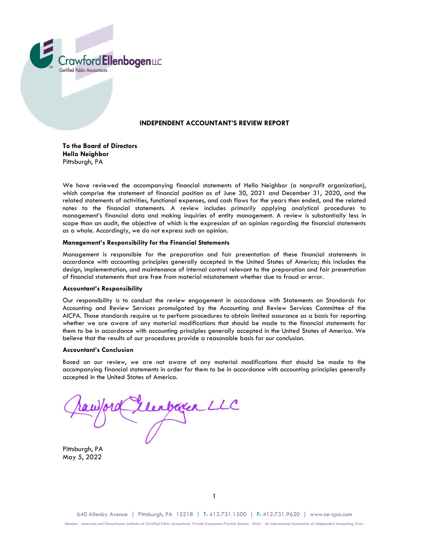

#### **INDEPENDENT ACCOUNTANT'S REVIEW REPORT**

**To the Board of Directors Hello Neighbor** Pittsburgh, PA

We have reviewed the accompanying financial statements of Hello Neighbor (a nonprofit organization), which comprise the statement of financial position as of June 30, 2021 and December 31, 2020, and the related statements of activities, functional expenses, and cash flows for the years then ended, and the related notes to the financial statements. A review includes primarily applying analytical procedures to management's financial data and making inquiries of entity management. A review is substantially less in scope than an audit, the objective of which is the expression of an opinion regarding the financial statements as a whole. Accordingly, we do not express such an opinion.

#### **Management's Responsibility for the Financial Statements**

Management is responsible for the preparation and fair presentation of these financial statements in accordance with accounting principles generally accepted in the United States of America; this includes the design, implementation, and maintenance of internal control relevant to the preparation and fair presentation of financial statements that are free from material misstatement whether due to fraud or error.

#### **Accountant's Responsibility**

Our responsibility is to conduct the review engagement in accordance with Statements on Standards for Accounting and Review Services promulgated by the Accounting and Review Services Committee of the AICPA. Those standards require us to perform procedures to obtain limited assurance as a basis for reporting whether we are aware of any material modifications that should be made to the financial statements for them to be in accordance with accounting principles generally accepted in the United States of America. We believe that the results of our procedures provide a reasonable basis for our conclusion.

#### **Accountant's Conclusion**

Based on our review, we are not aware of any material modifications that should be made to the accompanying financial statements in order for them to be in accordance with accounting principles generally accepted in the United States of America.

Merboxer LLC

Pittsburgh, PA May 5, 2022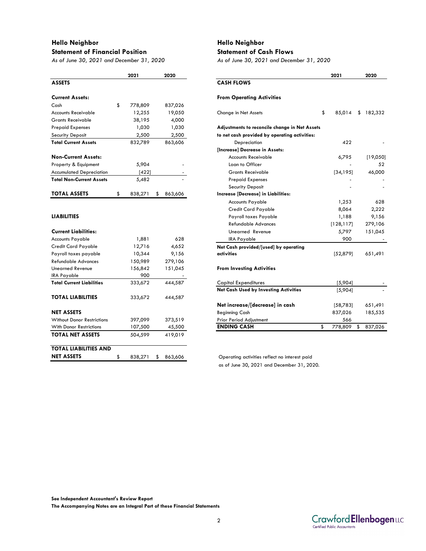# **Hello Neighbor Statement of Financial Position Statement of Cash Flows**

*As of June 30, 2021 and December 31, 2020*

|                                   | 2021          |    | 2020    |                                               | 2021       |
|-----------------------------------|---------------|----|---------|-----------------------------------------------|------------|
| <b>ASSETS</b>                     |               |    |         | <b>CASH FLOWS</b>                             |            |
| <b>Current Assets:</b>            |               |    |         | <b>From Operating Activities</b>              |            |
| Cash                              | \$<br>778,809 |    | 837,026 |                                               |            |
| <b>Accounts Receivable</b>        | 12,255        |    | 19,050  | \$<br>Change in Net Assets                    | 85,014     |
| <b>Grants Receivable</b>          | 38,195        |    | 4,000   |                                               |            |
| <b>Prepaid Expenses</b>           | 1,030         |    | 1,030   | Adjustments to reconcile change in Net Assets |            |
| Security Deposit                  | 2,500         |    | 2,500   | to net cash provided by operating activities: |            |
| <b>Total Current Assets</b>       | 832,789       |    | 863,606 | Depreciation                                  | 422        |
|                                   |               |    |         | [Increase] Decrease in Assets:                |            |
| <b>Non-Current Assets:</b>        |               |    |         | <b>Accounts Receivable</b>                    | 6,795      |
| Property & Equipment              | 5,904         |    |         | Loan to Officer                               |            |
| <b>Accumulated Depreciation</b>   | $[422]$       |    |         | <b>Grants Receivable</b>                      | [34, 195]  |
| <b>Total Non-Current Assets</b>   | 5,482         |    |         | <b>Prepaid Expenses</b>                       |            |
|                                   |               |    |         | Security Deposit                              |            |
| <b>TOTAL ASSETS</b>               | \$<br>838,271 | \$ | 863,606 | Increase [Decrease] in Liabilities:           |            |
|                                   |               |    |         | Accounts Payable                              | 1,253      |
|                                   |               |    |         | Credit Card Payable                           | 8,064      |
| <b>LIABILITIES</b>                |               |    |         | Payroll taxes Payable                         | 1,188      |
|                                   |               |    |         | <b>Refundable Advances</b>                    | [128, 117] |
| <b>Current Liabilities:</b>       |               |    |         | Unearned Revenue                              | 5,797      |
| <b>Accounts Payable</b>           | 1,881         |    | 628     | <b>IRA Payable</b>                            | 900        |
| Credit Card Payable               | 12,716        |    | 4,652   | Net Cash provided/[used] by operating         |            |
| Payroll taxes payable             | 10,344        |    | 9,156   | activities                                    | [52, 879]  |
| <b>Refundable Advances</b>        | 150,989       |    | 279,106 |                                               |            |
| <b>Unearned Revenue</b>           | 156,842       |    | 151,045 | <b>From Investing Activities</b>              |            |
| <b>IRA Payable</b>                | 900           |    |         |                                               |            |
| <b>Total Current Liabilities</b>  | 333,672       |    | 444,587 | <b>Capital Expenditures</b>                   | [5,904]    |
|                                   |               |    |         | <b>Net Cash Used by Investing Activities</b>  | [5,904]    |
| <b>TOTAL LIABILITIES</b>          | 333,672       |    | 444,587 |                                               |            |
|                                   |               |    |         | Net increase/[decrease] in cash               | [58, 783]  |
| <b>NET ASSETS</b>                 |               |    |         | Beginning Cash                                | 837,026    |
| <b>Without Donor Restrictions</b> | 397,099       |    | 373,519 | Prior Period Adjustment                       | 566        |
| With Donor Restrictions           | 107,500       |    | 45,500  | <b>ENDING CASH</b><br>\$                      | 778,809    |
| <b>TOTAL NET ASSETS</b>           | 504,599       |    | 419,019 |                                               |            |
| <b>TOTAL LIABILITIES AND</b>      |               |    |         |                                               |            |
| <b>NET ASSETS</b>                 | \$<br>838,271 | S  | 863,606 | Operating activities reflect no interest paid |            |
|                                   |               |    |         | a of live 20, 2021 and December 21, 2020      |            |

# **Hello Neighbor**

*As of June 30, 2021 and December 31, 2020*

|                                  | 2021          | 2020          |                                               | 2021          | 2020          |
|----------------------------------|---------------|---------------|-----------------------------------------------|---------------|---------------|
| <b>ASSETS</b>                    |               |               | <b>CASH FLOWS</b>                             |               |               |
| <b>Current Assets:</b>           |               |               | <b>From Operating Activities</b>              |               |               |
| Cash                             | \$<br>778,809 | 837,026       |                                               |               |               |
| Accounts Receivable              | 12,255        | 19,050        | Change in Net Assets                          | \$<br>85,014  | \$182,332     |
| <b>Grants Receivable</b>         | 38,195        | 4,000         |                                               |               |               |
| <b>Prepaid Expenses</b>          | 1,030         | 1,030         | Adjustments to reconcile change in Net Assets |               |               |
| <b>Security Deposit</b>          | 2,500         | 2,500         | to net cash provided by operating activities: |               |               |
| <b>Total Current Assets</b>      | 832,789       | 863,606       | Depreciation                                  | 422           |               |
|                                  |               |               | [Increase] Decrease in Assets:                |               |               |
| <b>Non-Current Assets:</b>       |               |               | <b>Accounts Receivable</b>                    | 6,795         | [19,050]      |
| Property & Equipment             | 5,904         |               | Loan to Officer                               |               | 52            |
| <b>Accumulated Depreciation</b>  | $[422]$       |               | <b>Grants Receivable</b>                      | [34, 195]     | 46,000        |
| <b>Total Non-Current Assets</b>  | 5,482         |               | <b>Prepaid Expenses</b>                       |               |               |
|                                  |               |               | <b>Security Deposit</b>                       |               |               |
| TOTAL ASSETS                     | \$<br>838,271 | \$<br>863,606 | Increase [Decrease] in Liabilities:           |               |               |
|                                  |               |               | Accounts Payable                              | 1,253         | 628           |
|                                  |               |               | Credit Card Payable                           | 8,064         | 2,222         |
| <b>LIABILITIES</b>               |               |               | Payroll taxes Payable                         | 1,188         | 9,156         |
|                                  |               |               | <b>Refundable Advances</b>                    | [128, 117]    | 279,106       |
| <b>Current Liabilities:</b>      |               |               | Unearned Revenue                              | 5,797         | 151,045       |
| Accounts Payable                 | 1,881         | 628           | <b>IRA Payable</b>                            | 900           |               |
| Credit Card Payable              | 12,716        | 4,652         | Net Cash provided/[used] by operating         |               |               |
| Payroll taxes payable            | 10,344        | 9,156         | activities                                    | [52, 879]     | 651,491       |
| <b>Refundable Advances</b>       | 150,989       | 279,106       |                                               |               |               |
| <b>Unearned Revenue</b>          | 156,842       | 151,045       | <b>From Investing Activities</b>              |               |               |
| IRA Payable                      | 900           |               |                                               |               |               |
| <b>Total Current Liabilities</b> | 333,672       | 444,587       | <b>Capital Expenditures</b>                   | [5,904]       |               |
|                                  |               |               | <b>Net Cash Used by Investing Activities</b>  | [5,904]       |               |
| <b>TOTAL LIABILITIES</b>         | 333,672       | 444,587       |                                               |               |               |
|                                  |               |               | Net increase/[decrease] in cash               | [58,783]      | 651,491       |
| <b>NET ASSETS</b>                |               |               | <b>Beginning Cash</b>                         | 837,026       | 185,535       |
| Without Donor Restrictions       | 397,099       | 373,519       | Prior Period Adjustment                       | 566           |               |
| With Donor Restrictions          | 107,500       | 45,500        | <b>ENDING CASH</b>                            | \$<br>778,809 | \$<br>837,026 |
| TOTAL NET ASSETS                 | 504.500       | 410010        |                                               |               |               |

Operating activities reflect no interest paid as of June 30, 2021 and December 31, 2020.

**See Independent Accountant's Review Report**

**The Accompanying Notes are an Integral Part of these Financial Statements**

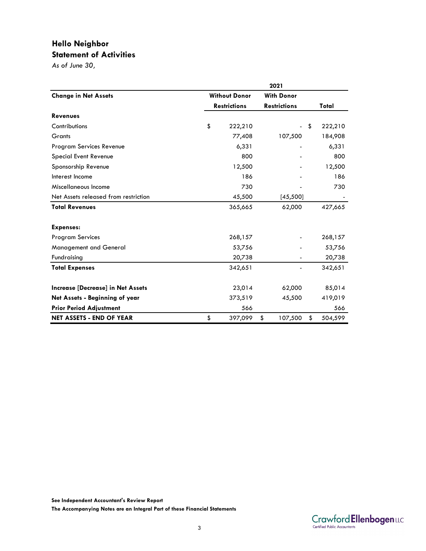# **Hello Neighbor Statement of Activities**

*As of June 30,* 

|                                          |                      | 2021                |               |
|------------------------------------------|----------------------|---------------------|---------------|
| <b>Change in Net Assets</b>              | <b>Without Donor</b> | <b>With Donor</b>   |               |
|                                          | <b>Restrictions</b>  | <b>Restrictions</b> | Total         |
| <b>Revenues</b>                          |                      |                     |               |
| Contributions                            | \$<br>222,210        |                     | \$<br>222,210 |
| Grants                                   | 77,408               | 107,500             | 184,908       |
| Program Services Revenue                 | 6,331                |                     | 6,331         |
| Special Event Revenue                    | 800                  |                     | 800           |
| Sponsorship Revenue                      | 12,500               |                     | 12,500        |
| Interest Income                          | 186                  |                     | 186           |
| Miscellaneous Income                     | 730                  |                     | 730           |
| Net Assets released from restriction     | 45,500               | [45,500]            |               |
| <b>Total Revenues</b>                    | 365,665              | 62,000              | 427,665       |
| <b>Expenses:</b>                         |                      |                     |               |
| <b>Program Services</b>                  | 268,157              |                     | 268,157       |
| Management and General                   | 53,756               |                     | 53,756        |
| Fundraising                              | 20,738               |                     | 20,738        |
| <b>Total Expenses</b>                    | 342,651              |                     | 342,651       |
| <b>Increase [Decrease] in Net Assets</b> | 23,014               | 62,000              | 85,014        |
| Net Assets - Beginning of year           | 373,519              | 45,500              | 419,019       |
| <b>Prior Period Adjustment</b>           | 566                  |                     | 566           |
| <b>NET ASSETS - END OF YEAR</b>          | \$<br>397,099        | \$<br>107,500       | \$<br>504,599 |

**See Independent Accountant's Review Report**

**The Accompanying Notes are an Integral Part of these Financial Statements**

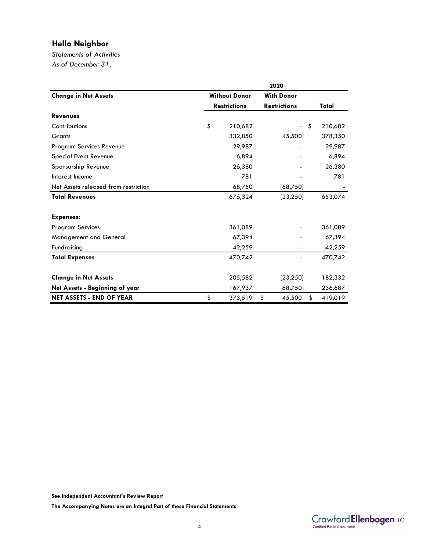# **Hello Neighbor**

*Statements of Activities As of December 31,*

|                                      | 2020 |                      |                     |         |  |  |  |  |  |
|--------------------------------------|------|----------------------|---------------------|---------|--|--|--|--|--|
| <b>Change in Net Assets</b>          |      | <b>Without Donor</b> |                     |         |  |  |  |  |  |
|                                      |      | <b>Restrictions</b>  | <b>Restrictions</b> | Total   |  |  |  |  |  |
| <b>Revenues</b>                      |      |                      |                     |         |  |  |  |  |  |
| Contributions                        | \$   | 210,682              | \$                  | 210,682 |  |  |  |  |  |
| Grants                               |      | 332,850              | 45,500              | 378,350 |  |  |  |  |  |
| Program Services Revenue             |      | 29,987               |                     | 29,987  |  |  |  |  |  |
| Special Event Revenue                |      | 6,894                |                     | 6,894   |  |  |  |  |  |
| Sponsorship Revenue                  |      | 26,380               |                     | 26,380  |  |  |  |  |  |
| Interest Income                      |      | 781                  |                     | 781     |  |  |  |  |  |
| Net Assets released from restriction |      | 68,750               | [68,750]            |         |  |  |  |  |  |
| <b>Total Revenues</b>                |      | 676,324              | [23, 250]           | 653,074 |  |  |  |  |  |
| <b>Expenses:</b>                     |      |                      |                     |         |  |  |  |  |  |
| <b>Program Services</b>              |      | 361,089              |                     | 361,089 |  |  |  |  |  |
| Management and General               |      | 67,394               |                     | 67,394  |  |  |  |  |  |
| Fundraising                          |      | 42,259               |                     | 42,259  |  |  |  |  |  |
| <b>Total Expenses</b>                |      | 470,742              |                     | 470,742 |  |  |  |  |  |
| <b>Change in Net Assets</b>          |      | 205,582              | [23, 250]           | 182,332 |  |  |  |  |  |
| Net Assets - Beginning of year       |      | 167,937              | 68,750              | 236,687 |  |  |  |  |  |
| <b>NET ASSETS - END OF YEAR</b>      | \$   | 373,519              | \$<br>45,500<br>\$  | 419,019 |  |  |  |  |  |

**See Independent Accountant's Review Report**

**The Accompanying Notes are an Integral Part of these Financial Statements** 

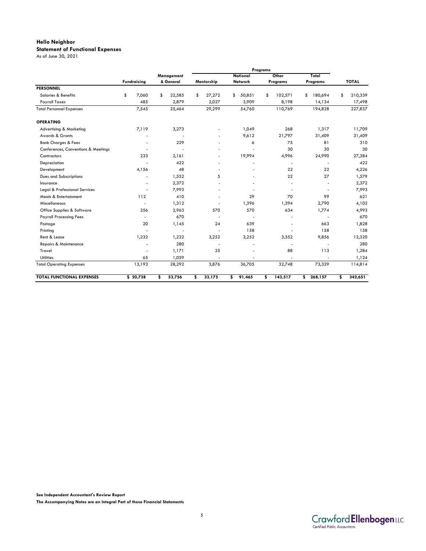# **Hello Neighbor Statement of Functional Expenses**

As of June 30, 2021

|                                     |                          | Programs |            |    |                          |    |                |    |                          |                          |               |
|-------------------------------------|--------------------------|----------|------------|----|--------------------------|----|----------------|----|--------------------------|--------------------------|---------------|
|                                     |                          |          | Management |    |                          |    | National       |    | Other                    | Total                    |               |
|                                     | <b>Fundraising</b>       |          | & General  |    | Mentorship               |    | <b>Network</b> |    | Programs                 | Programs                 | <b>TOTAL</b>  |
| <b>PERSONNEL</b>                    |                          |          |            |    |                          |    |                |    |                          |                          |               |
| <b>Salaries &amp; Benefits</b>      | \$<br>7,060              | \$       | 22,585     | \$ | 27,272                   | \$ | 50,851         | \$ | 102,571                  | \$<br>180,694            | \$<br>210,339 |
| <b>Payroll Taxes</b>                | 485                      |          | 2,879      |    | 2,027                    |    | 3,909          |    | 8,198                    | 14,134                   | 17,498        |
| <b>Total Personnel Expenses</b>     | 7,545                    |          | 25,464     |    | 29,299                   |    | 54,760         |    | 110,769                  | 194,828                  | 227,837       |
| <b>OPERATING</b>                    |                          |          |            |    |                          |    |                |    |                          |                          |               |
| Advertising & Marketing             | 7,119                    |          | 3,273      |    |                          |    | 1,049          |    | 268                      | 1,317                    | 11,709        |
| <b>Awards &amp; Grants</b>          |                          |          |            |    | ÷                        |    | 9,612          |    | 21,797                   | 31,409                   | 31,409        |
| <b>Bank Charges &amp; Fees</b>      | $\blacksquare$           |          | 229        |    |                          |    | 6              |    | 75                       | 81                       | 310           |
| Conferences, Conventions & Meetings | $\blacksquare$           |          |            |    | $\overline{\phantom{a}}$ |    |                |    | 30                       | 30                       | 30            |
| Contractors                         | 233                      |          | 2,161      |    | $\overline{\phantom{a}}$ |    | 19,994         |    | 4,996                    | 24,990                   | 27,384        |
| Depreciation                        |                          |          | 422        |    | $\overline{\phantom{a}}$ |    |                |    |                          |                          | 422           |
| Development                         | 4,156                    |          | 48         |    |                          |    |                |    | 22                       | 22                       | 4,226         |
| Dues and Subscriptions              |                          |          | 1,552      |    | 5                        |    |                |    | 22                       | 27                       | 1,579         |
| Insurance                           | $\overline{\phantom{a}}$ |          | 2,372      |    |                          |    |                |    | $\blacksquare$           | $\overline{\phantom{a}}$ | 2,372         |
| Legal & Professional Services       |                          |          | 7,993      |    |                          |    |                |    | $\blacksquare$           | $\overline{\phantom{a}}$ | 7,993         |
| <b>Meals &amp; Entertainment</b>    | 112                      |          | 410        |    | ÷                        |    | 29             |    | 70                       | 99                       | 621           |
| <b>Miscellaneous</b>                |                          |          | 1,312      |    | $\overline{\phantom{a}}$ |    | 1,396          |    | 1,394                    | 2,790                    | 4,102         |
| Office Supplies & Software          | 256                      |          | 2,963      |    | 570                      |    | 570            |    | 634                      | 1,774                    | 4,993         |
| <b>Payroll Processing Fees</b>      | $\blacksquare$           |          | 670        |    | $\overline{\phantom{a}}$ |    |                |    | $\overline{\phantom{a}}$ | $\overline{\phantom{a}}$ | 670           |
| Postage                             | 20                       |          | 1,145      |    | 24                       |    | 639            |    |                          | 663                      | 1,828         |
| Printing                            | $\overline{a}$           |          |            |    |                          |    | 158            |    |                          | 158                      | 158           |
| Rent & Lease                        | 1.232                    |          | 1,232      |    | 3,252                    |    | 3,252          |    | 3,352                    | 9,856                    | 12,320        |
| Repairs & Maintenance               |                          |          | 280        |    | $\blacksquare$           |    |                |    |                          | $\overline{\phantom{a}}$ | 280           |
| Travel                              |                          |          | 1,171      |    | 25                       |    |                |    | 88                       | 113                      | 1,284         |
| <b>Utilities</b>                    | 65                       |          | 1,059      |    | $\overline{\phantom{a}}$ |    |                |    |                          | $\overline{\phantom{a}}$ | 1,124         |
| <b>Total Operating Expenses</b>     | 13,193                   |          | 28,292     |    | 3,876                    |    | 36,705         |    | 32,748                   | 73,329                   | 114,814       |
| <b>TOTAL FUNCTIONAL EXPENSES</b>    | \$20,738                 | \$       | 53,756     | \$ | 33,175                   | \$ | 91,465         | \$ | 143,517                  | \$<br>268,157            | \$<br>342,651 |

**See Independent Accountant's Review Report The Accompanying Notes are an Integral Part of these Financial Statements**

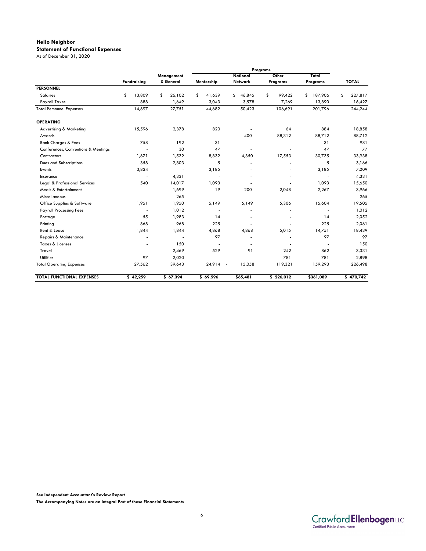# **Hello Neighbor Statement of Functional Expenses**

As of December 31, 2020

|                                     | Programs                 |            |                          |    |                          |    |                          |                          |    |                          |               |
|-------------------------------------|--------------------------|------------|--------------------------|----|--------------------------|----|--------------------------|--------------------------|----|--------------------------|---------------|
|                                     |                          | Management |                          |    |                          |    | National                 | Other                    |    | Total                    |               |
|                                     | <b>Fundraising</b>       | & General  |                          |    | Mentorship               |    | Network                  | Programs                 |    | Programs                 | <b>TOTAL</b>  |
| <b>PERSONNEL</b>                    |                          |            |                          |    |                          |    |                          |                          |    |                          |               |
| <b>Salaries</b>                     | 13,809<br>\$             | \$         | 26,102                   | \$ | 41,639                   | \$ | 46,845                   | \$<br>99,422             | \$ | 187,906                  | \$<br>227,817 |
| <b>Payroll Taxes</b>                | 888                      |            | 1,649                    |    | 3,043                    |    | 3,578                    | 7,269                    |    | 13,890                   | 16,427        |
| <b>Total Personnel Expenses</b>     | 14,697                   |            | 27,751                   |    | 44,682                   |    | 50,423                   | 106,691                  |    | 201,796                  | 244,244       |
| <b>OPERATING</b>                    |                          |            |                          |    |                          |    |                          |                          |    |                          |               |
| <b>Advertising &amp; Marketing</b>  | 15,596                   |            | 2,378                    |    | 820                      |    |                          | 64                       |    | 884                      | 18,858        |
| Awards                              |                          |            |                          |    | $\overline{\phantom{a}}$ |    | 400                      | 88,312                   |    | 88,712                   | 88,712        |
| <b>Bank Charges &amp; Fees</b>      | 758                      |            | 192                      |    | 31                       |    |                          |                          |    | 31                       | 981           |
| Conferences, Conventions & Meetings | $\overline{a}$           |            | 30                       |    | 47                       |    | $\blacksquare$           | $\sim$                   |    | 47                       | 77            |
| Contractors                         | 1,671                    |            | 1,532                    |    | 8,832                    |    | 4,350                    | 17,553                   |    | 30,735                   | 33,938        |
| <b>Dues and Subscriptions</b>       | 358                      |            | 2,803                    |    | 5                        |    |                          |                          |    | 5                        | 3,166         |
| Events                              | 3,824                    |            | $\overline{\phantom{a}}$ |    | 3,185                    |    |                          |                          |    | 3,185                    | 7,009         |
| Insurance                           | $\overline{\phantom{a}}$ |            | 4,331                    |    | $\overline{\phantom{a}}$ |    |                          |                          |    | $\overline{\phantom{a}}$ | 4,331         |
| Legal & Professional Services       | 540                      |            | 14,017                   |    | 1,093                    |    |                          | $\overline{\phantom{a}}$ |    | 1,093                    | 15,650        |
| <b>Meals &amp; Entertainment</b>    |                          |            | 1,699                    |    | 19                       |    | 200                      | 2,048                    |    | 2,267                    | 3,966         |
| <b>Miscellaneous</b>                |                          |            | 265                      |    | $\overline{\phantom{a}}$ |    |                          |                          |    |                          | 265           |
| Office Supplies & Software          | 1,951                    |            | 1,950                    |    | 5,149                    |    | 5,149                    | 5,306                    |    | 15,604                   | 19,505        |
| <b>Payroll Processing Fees</b>      | $\overline{\phantom{a}}$ |            | 1,012                    |    | $\overline{\phantom{a}}$ |    |                          |                          |    | $\overline{\phantom{a}}$ | 1,012         |
| Postage                             | 55                       |            | 1,983                    |    | 14                       |    |                          |                          |    | 14                       | 2,052         |
| Printing                            | 868                      |            | 968                      |    | 225                      |    | $\blacksquare$           |                          |    | 225                      | 2,061         |
| Rent & Lease                        | 1,844                    |            | 1,844                    |    | 4,868                    |    | 4,868                    | 5,015                    |    | 14,751                   | 18,439        |
| Repairs & Maintenance               |                          |            | ÷                        |    | 97                       |    |                          |                          |    | 97                       | 97            |
| <b>Taxes &amp; Licenses</b>         | $\overline{\phantom{a}}$ |            | 150                      |    | $\overline{\phantom{a}}$ |    | $\overline{\phantom{a}}$ | $\sim$                   |    | $\overline{a}$           | 150           |
| Travel                              |                          |            | 2,469                    |    | 529                      |    | 91                       | 242                      |    | 862                      | 3,331         |
| <b>Utilities</b>                    | 97                       |            | 2,020                    |    |                          |    |                          | 781                      |    | 781                      | 2,898         |
| <b>Total Operating Expenses</b>     | 27,562                   |            | 39,643                   |    | 24,914 -                 |    | 15,058                   | 119,321                  |    | 159,293                  | 226,498       |
| <b>TOTAL FUNCTIONAL EXPENSES</b>    | \$42,259                 | \$67,394   |                          |    | \$69,596                 |    | \$65,481                 | \$226,012                |    | \$361,089                | \$470,742     |

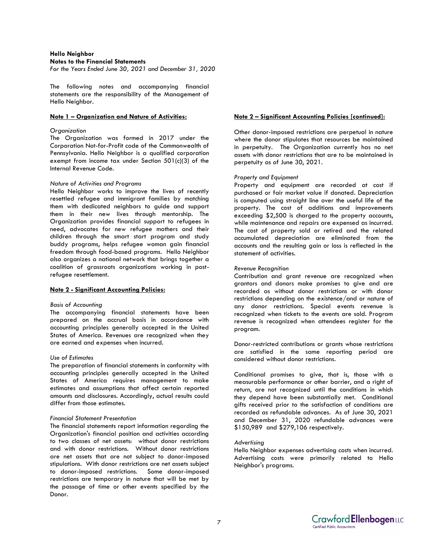# **Hello Neighbor**

# **Notes to the Financial Statements**

*For the Years Ended June 30, 2021 and December 31, 2020*

The following notes and accompanying financial statements are the responsibility of the Management of Hello Neighbor.

#### **Note 1 – Organization and Nature of Activities:**

#### *Organization*

The Organization was formed in 2017 under the Corporation Not-for-Profit code of the Commonwealth of Pennsylvania. Hello Neighbor is a qualified corporation exempt from income tax under Section 501(c)(3) of the Internal Revenue Code.

#### *Nature of Activities and Programs*

Hello Neighbor works to improve the lives of recently resettled refugee and immigrant families by matching them with dedicated neighbors to guide and support them in their new lives through mentorship. The Organization provides financial support to refugees in need, advocates for new refugee mothers and their children through the smart start program and study buddy programs, helps refugee woman gain financial freedom through food-based programs. Hello Neighbor also organizes a national network that brings together a coalition of grassroots organizations working in postrefugee resettlement.

#### **Note 2 - Significant Accounting Policies:**

#### *Basis of Accounting*

The accompanying financial statements have been prepared on the accrual basis in accordance with accounting principles generally accepted in the United States of America. Revenues are recognized when they are earned and expenses when incurred.

#### *Use of Estimates*

The preparation of financial statements in conformity with accounting principles generally accepted in the United States of America requires management to make estimates and assumptions that affect certain reported amounts and disclosures. Accordingly, actual results could differ from those estimates.

#### *Financial Statement Presentation*

The financial statements report information regarding the Organization's financial position and activities according to two classes of net assets: without donor restrictions and with donor restrictions. Without donor restrictions are net assets that are not subject to donor-imposed stipulations. With donor restrictions are net assets subject to donor-imposed restrictions. Some donor-imposed restrictions are temporary in nature that will be met by the passage of time or other events specified by the Donor.

#### **Note 2 – Significant Accounting Policies [continued]:**

Other donor-imposed restrictions are perpetual in nature where the donor stipulates that resources be maintained in perpetuity. The Organization currently has no net assets with donor restrictions that are to be maintained in perpetuity as of June 30, 2021.

#### *Property and Equipment*

Property and equipment are recorded at cost if purchased or fair market value if donated. Depreciation is computed using straight line over the useful life of the property. The cost of additions and improvements exceeding \$2,500 is charged to the property accounts, while maintenance and repairs are expensed as incurred. The cost of property sold or retired and the related accumulated depreciation are eliminated from the accounts and the resulting gain or loss is reflected in the statement of activities.

#### *Revenue Recognition*

Contribution and grant revenue are recognized when grantors and donors make promises to give and are recorded as without donor restrictions or with donor restrictions depending on the existence/and or nature of any donor restrictions. Special events revenue is recognized when tickets to the events are sold. Program revenue is recognized when attendees register for the program.

Donor-restricted contributions or grants whose restrictions are satisfied in the same reporting period are considered without donor restrictions.

Conditional promises to give, that is, those with a measurable performance or other barrier, and a right of return, are not recognized until the conditions in which they depend have been substantially met. Conditional gifts received prior to the satisfaction of conditions are recorded as refundable advances. As of June 30, 2021 and December 31, 2020 refundable advances were \$150,989 and \$279,106 respectively.

#### *Advertising*

Hello Neighbor expenses advertising costs when incurred. Advertising costs were primarily related to Hello Neighbor's programs.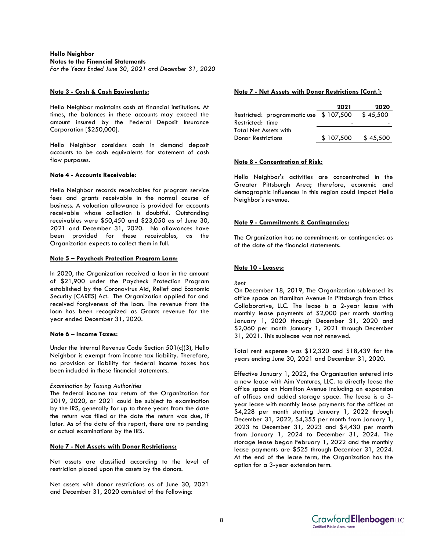#### **Hello Neighbor Notes to the Financial Statements**

*For the Years Ended June 30, 2021 and December 31, 2020*

#### **Note 3 - Cash & Cash Equivalents:**

Hello Neighbor maintains cash at financial institutions. At times, the balances in these accounts may exceed the amount insured by the Federal Deposit Insurance Corporation [\$250,000].

Hello Neighbor considers cash in demand deposit accounts to be cash equivalents for statement of cash flow purposes.

# **Note 4 - Accounts Receivable:**

Hello Neighbor records receivables for program service fees and grants receivable in the normal course of business. A valuation allowance is provided for accounts receivable whose collection is doubtful. Outstanding receivables were \$50,450 and \$23,050 as of June 30, 2021 and December 31, 2020. No allowances have been provided for these receivables, as the Organization expects to collect them in full.

#### **Note 5 – Paycheck Protection Program Loan:**

In 2020, the Organization received a loan in the amount of \$21,900 under the Paycheck Protection Program established by the Coronavirus Aid, Relief and Economic Security [CARES] Act. The Organization applied for and received forgiveness of the loan. The revenue from the loan has been recognized as Grants revenue for the year ended December 31, 2020.

#### **Note 6 – Income Taxes:**

Under the Internal Revenue Code Section 501(c)(3), Hello Neighbor is exempt from income tax liability. Therefore, no provision or liability for federal income taxes has been included in these financial statements.

#### *Examination by Taxing Authorities*

The federal income tax return of the Organization for 2019, 2020, or 2021 could be subject to examination by the IRS, generally for up to three years from the date the return was filed or the date the return was due, if later. As of the date of this report, there are no pending or actual examinations by the IRS.

#### **Note 7 - Net Assets with Donor Restrictions:**

Net assets are classified according to the level of restriction placed upon the assets by the donors.

Net assets with donor restrictions as of June 30, 2021 and December 31, 2020 consisted of the following:

#### **Note 7 - Net Assets with Donor Restrictions [Cont.]:**

|                                        | 2021      | 2020     |
|----------------------------------------|-----------|----------|
| Restricted: programmatic use \$107,500 |           | \$45.500 |
| Restricted: time                       | -         |          |
| <b>Total Net Assets with</b>           |           |          |
| <b>Donor Restrictions</b>              | \$107,500 | \$45,500 |

# **Note 8 - Concentration of Risk:**

Hello Neighbor's activities are concentrated in the Greater Pittsburgh Area; therefore, economic and demographic influences in this region could impact Hello Neighbor's revenue.

# **Note 9 - Commitments & Contingencies:**

The Organization has no commitments or contingencies as of the date of the financial statements.

# **Note 10 - Leases:**

#### *Rent*

On December 18, 2019, The Organization subleased its office space on Hamilton Avenue in Pittsburgh from Ethos Collaborative, LLC. The lease is a 2-year lease with monthly lease payments of \$2,000 per month starting January 1, 2020 through December 31, 2020 and \$2,060 per month January 1, 2021 through December 31, 2021. This sublease was not renewed.

Total rent expense was \$12,320 and \$18,439 for the years ending June 30, 2021 and December 31, 2020.

Effective January 1, 2022, the Organization entered into a new lease with Aim Ventures, LLC. to directly lease the office space on Hamilton Avenue including an expansion of offices and added storage space. The lease is a 3 year lease with monthly lease payments for the offices at \$4,228 per month starting January 1, 2022 through December 31, 2022, \$4,355 per month from January 1, 2023 to December 31, 2023 and \$4,430 per month from January 1, 2024 to December 31, 2024. The storage lease began February 1, 2022 and the monthly lease payments are \$525 through December 31, 2024. At the end of the lease term, the Organization has the option for a 3-year extension term.